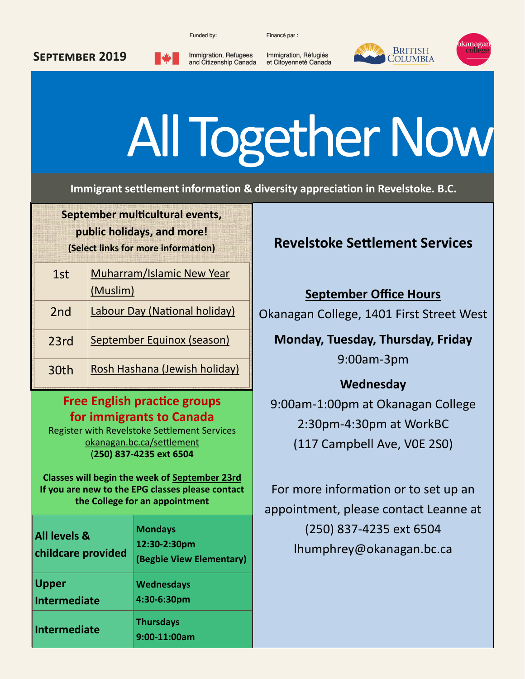Funded by:

Financé par :



#### **September 2019**

Immigration, Refugees and Citizenship Canada

Immigration, Réfugiés et Citoyenneté Canada

# All Together Now

**Immigrant settlement information & diversity appreciation in Revelstoke. B.C.**

**September multicultural events, public holidays, and more! (Select links for more information)**

| 1st              | Muharram/Islamic New Year     |  |
|------------------|-------------------------------|--|
|                  | (Muslim)                      |  |
| 2nd              | Labour Day (National holiday) |  |
| 23rd             | September Equinox (season)    |  |
| 30 <sub>th</sub> | Rosh Hashana (Jewish holiday) |  |

#### **Free English practice groups for immigrants to Canada**

Register with Revelstoke Settlement Services [okanagan.bc.ca/settlement](http://www.okanagan.bc.ca/Page35730.aspx) (**250) 837-4235 ext 6504**

**Classes will begin the week of September 23rd If you are new to the EPG classes please contact the College for an appointment**

| <b>All levels &amp;</b><br>childcare provided | <b>Mondays</b><br>12:30-2:30pm<br>(Begbie View Elementary) |
|-----------------------------------------------|------------------------------------------------------------|
| <b>Upper</b><br><b>Intermediate</b>           | <b>Wednesdays</b><br>4:30-6:30pm                           |
| <b>Intermediate</b>                           | <b>Thursdays</b><br>9:00-11:00am                           |

### **Revelstoke Settlement Services**

**September Office Hours** Okanagan College, 1401 First Street West

**Monday, Tuesday, Thursday, Friday** 9:00am-3pm

## **Wednesday**

9:00am-1:00pm at Okanagan College 2:30pm-4:30pm at WorkBC (117 Campbell Ave, V0E 2S0)

For more information or to set up an appointment, please contact Leanne at (250) 837-4235 ext 6504 lhumphrey@okanagan.bc.ca